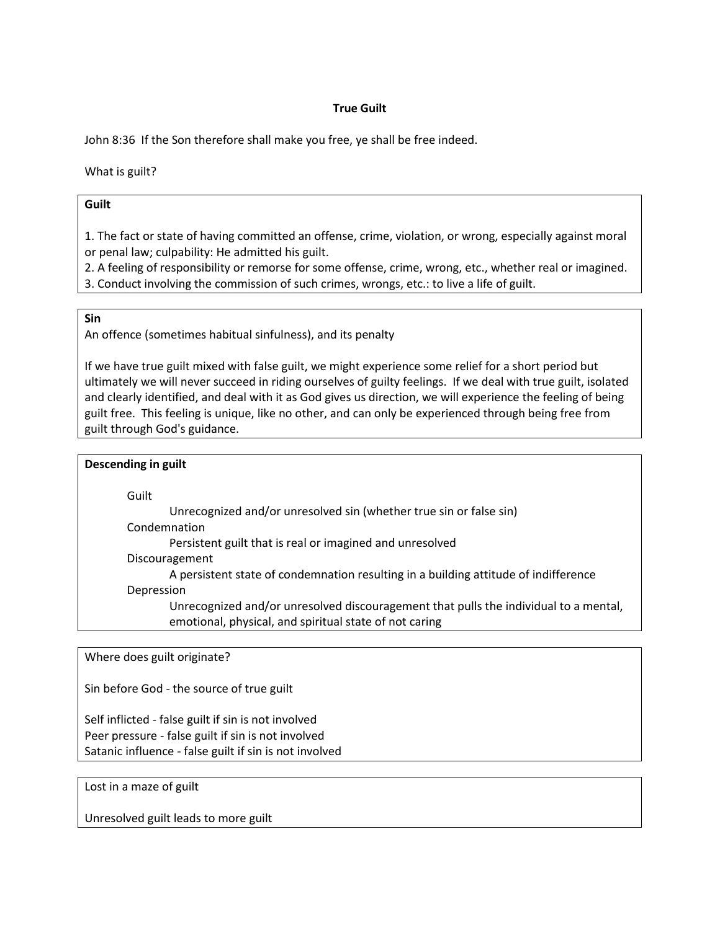## **True Guilt**

John 8:36 If the Son therefore shall make you free, ye shall be free indeed.

What is guilt?

## **Guilt**

1. The fact or state of having committed an offense, crime, violation, or wrong, especially against moral or penal law; culpability: He admitted his guilt.

2. A feeling of responsibility or remorse for some offense, crime, wrong, etc., whether real or imagined.

3. Conduct involving the commission of such crimes, wrongs, etc.: to live a life of guilt.

## **Sin**

An offence (sometimes habitual sinfulness), and its penalty

If we have true guilt mixed with false guilt, we might experience some relief for a short period but ultimately we will never succeed in riding ourselves of guilty feelings. If we deal with true guilt, isolated and clearly identified, and deal with it as God gives us direction, we will experience the feeling of being guilt free. This feeling is unique, like no other, and can only be experienced through being free from guilt through God's guidance.

## **Descending in guilt** Guilt Unrecognized and/or unresolved sin (whether true sin or false sin) Condemnation Persistent guilt that is real or imagined and unresolved Discouragement A persistent state of condemnation resulting in a building attitude of indifference Depression Unrecognized and/or unresolved discouragement that pulls the individual to a mental, emotional, physical, and spiritual state of not caring

Where does guilt originate?

Sin before God - the source of true guilt

Self inflicted - false guilt if sin is not involved Peer pressure - false guilt if sin is not involved Satanic influence - false guilt if sin is not involved

Lost in a maze of guilt

Unresolved guilt leads to more guilt